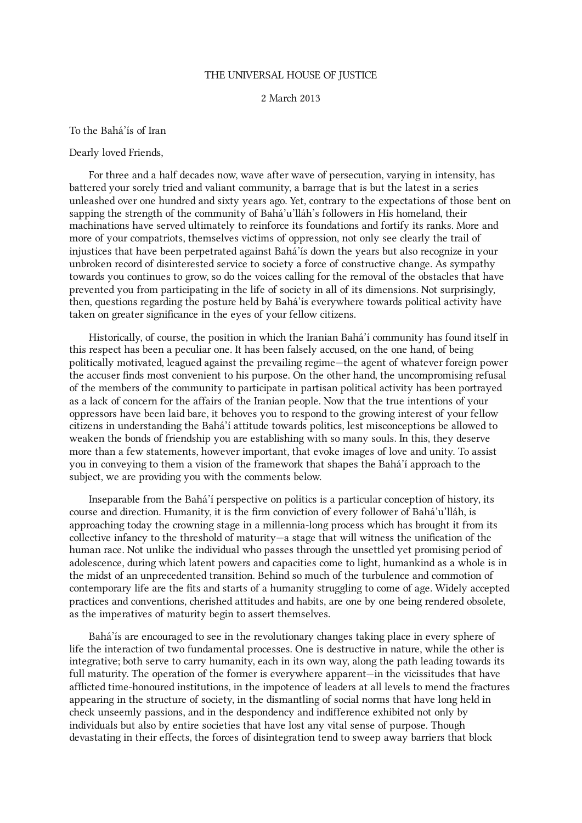## THE UNIVERSAL HOUSE OF JUSTICE

## 2 March 2013

To the Bahá'ís of Iran

## Dearly loved Friends,

For three and a half decades now, wave after wave of persecution, varying in intensity, has battered your sorely tried and valiant community, a barrage that is but the latest in a series unleashed over one hundred and sixty years ago. Yet, contrary to the expectations of those bent on sapping the strength of the community of Bahá'u'lláh's followers in His homeland, their machinations have served ultimately to reinforce its foundations and fortify its ranks. More and more of your compatriots, themselves victims of oppression, not only see clearly the trail of injustices that have been perpetrated against Bahá'ís down the years but also recognize in your unbroken record of disinterested service to society a force of constructive change. As sympathy towards you continues to grow, so do the voices calling for the removal of the obstacles that have prevented you from participating in the life of society in all of its dimensions. Not surprisingly, then, questions regarding the posture held by Bahá'ís everywhere towards political activity have taken on greater significance in the eyes of your fellow citizens.

Historically, of course, the position in which the Iranian Bahá'í community has found itself in this respect has been a peculiar one. It has been falsely accused, on the one hand, of being politically motivated, leagued against the prevailing regime—the agent of whatever foreign power the accuser finds most convenient to his purpose. On the other hand, the uncompromising refusal of the members of the community to participate in partisan political activity has been portrayed as a lack of concern for the affairs of the Iranian people. Now that the true intentions of your oppressors have been laid bare, it behoves you to respond to the growing interest of your fellow citizens in understanding the Bahá'í attitude towards politics, lest misconceptions be allowed to weaken the bonds of friendship you are establishing with so many souls. In this, they deserve more than a few statements, however important, that evoke images of love and unity. To assist you in conveying to them a vision of the framework that shapes the Bahá'í approach to the subject, we are providing you with the comments below.

Inseparable from the Bahá'í perspective on politics is a particular conception of history, its course and direction. Humanity, it is the firm conviction of every follower of Bahá'u'lláh, is approaching today the crowning stage in a millennia-long process which has brought it from its collective infancy to the threshold of maturity—a stage that will witness the unification of the human race. Not unlike the individual who passes through the unsettled yet promising period of adolescence, during which latent powers and capacities come to light, humankind as a whole is in the midst of an unprecedented transition. Behind so much of the turbulence and commotion of contemporary life are the fits and starts of a humanity struggling to come of age. Widely accepted practices and conventions, cherished attitudes and habits, are one by one being rendered obsolete, as the imperatives of maturity begin to assert themselves.

Bahá'ís are encouraged to see in the revolutionary changes taking place in every sphere of life the interaction of two fundamental processes. One is destructive in nature, while the other is integrative; both serve to carry humanity, each in its own way, along the path leading towards its full maturity. The operation of the former is everywhere apparent—in the vicissitudes that have afflicted time-honoured institutions, in the impotence of leaders at all levels to mend the fractures appearing in the structure of society, in the dismantling of social norms that have long held in check unseemly passions, and in the despondency and indifference exhibited not only by individuals but also by entire societies that have lost any vital sense of purpose. Though devastating in their effects, the forces of disintegration tend to sweep away barriers that block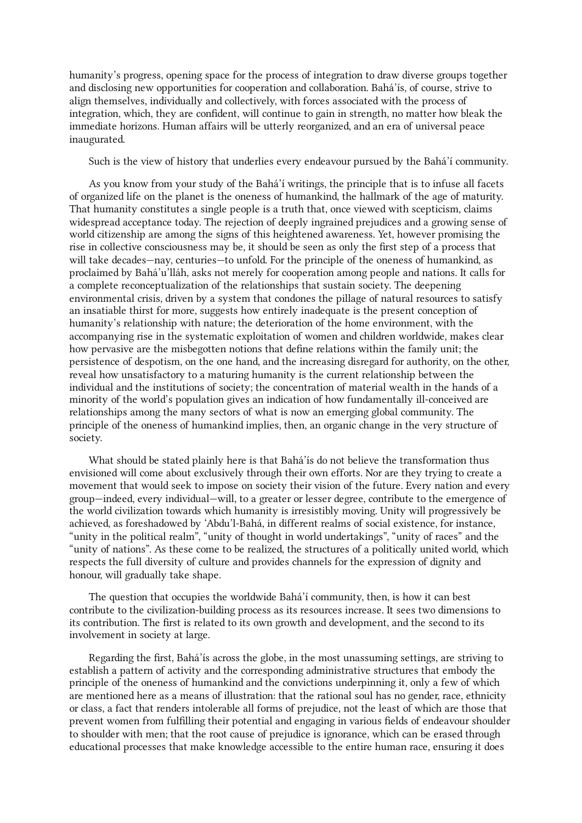humanity's progress, opening space for the process of integration to draw diverse groups together and disclosing new opportunities for cooperation and collaboration. Bahá'ís, of course, strive to align themselves, individually and collectively, with forces associated with the process of integration, which, they are confident, will continue to gain in strength, no matter how bleak the immediate horizons. Human affairs will be utterly reorganized, and an era of universal peace inaugurated.

Such is the view of history that underlies every endeavour pursued by the Bahá'í community.

As you know from your study of the Bahá'í writings, the principle that is to infuse all facets of organized life on the planet is the oneness of humankind, the hallmark of the age of maturity. That humanity constitutes a single people is a truth that, once viewed with scepticism, claims widespread acceptance today. The rejection of deeply ingrained prejudices and a growing sense of world citizenship are among the signs of this heightened awareness. Yet, however promising the rise in collective consciousness may be, it should be seen as only the first step of a process that will take decades—nay, centuries—to unfold. For the principle of the oneness of humankind, as proclaimed by Bahá'u'lláh, asks not merely for cooperation among people and nations. It calls for a complete reconceptualization of the relationships that sustain society. The deepening environmental crisis, driven by a system that condones the pillage of natural resources to satisfy an insatiable thirst for more, suggests how entirely inadequate is the present conception of humanity's relationship with nature; the deterioration of the home environment, with the accompanying rise in the systematic exploitation of women and children worldwide, makes clear how pervasive are the misbegotten notions that define relations within the family unit; the persistence of despotism, on the one hand, and the increasing disregard for authority, on the other, reveal how unsatisfactory to a maturing humanity is the current relationship between the individual and the institutions of society; the concentration of material wealth in the hands of a minority of the world's population gives an indication of how fundamentally ill-conceived are relationships among the many sectors of what is now an emerging global community. The principle of the oneness of humankind implies, then, an organic change in the very structure of society.

What should be stated plainly here is that Bahá'ís do not believe the transformation thus envisioned will come about exclusively through their own efforts. Nor are they trying to create a movement that would seek to impose on society their vision of the future. Every nation and every group—indeed, every individual—will, to a greater or lesser degree, contribute to the emergence of the world civilization towards which humanity is irresistibly moving. Unity will progressively be achieved, as foreshadowed by 'Abdu'l‑Bahá, in different realms of social existence, for instance, "unity in the political realm", "unity of thought in world undertakings", "unity of races" and the "unity of nations". As these come to be realized, the structures of a politically united world, which respects the full diversity of culture and provides channels for the expression of dignity and honour, will gradually take shape.

The question that occupies the worldwide Bahá'í community, then, is how it can best contribute to the civilization-building process as its resources increase. It sees two dimensions to its contribution. The first is related to its own growth and development, and the second to its involvement in society at large.

Regarding the first, Bahá'ís across the globe, in the most unassuming settings, are striving to establish a pattern of activity and the corresponding administrative structures that embody the principle of the oneness of humankind and the convictions underpinning it, only a few of which are mentioned here as a means of illustration: that the rational soul has no gender, race, ethnicity or class, a fact that renders intolerable all forms of prejudice, not the least of which are those that prevent women from fulfilling their potential and engaging in various fields of endeavour shoulder to shoulder with men; that the root cause of prejudice is ignorance, which can be erased through educational processes that make knowledge accessible to the entire human race, ensuring it does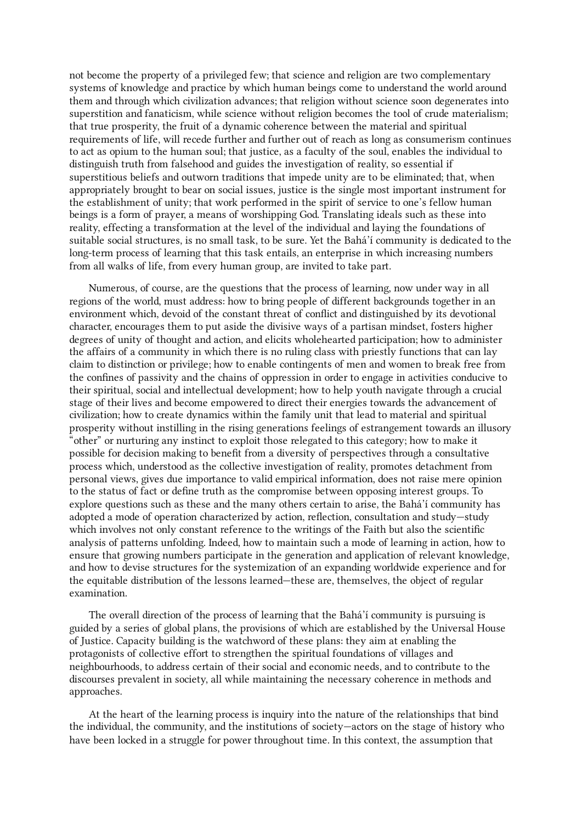not become the property of a privileged few; that science and religion are two complementary systems of knowledge and practice by which human beings come to understand the world around them and through which civilization advances; that religion without science soon degenerates into superstition and fanaticism, while science without religion becomes the tool of crude materialism; that true prosperity, the fruit of a dynamic coherence between the material and spiritual requirements of life, will recede further and further out of reach as long as consumerism continues to act as opium to the human soul; that justice, as a faculty of the soul, enables the individual to distinguish truth from falsehood and guides the investigation of reality, so essential if superstitious beliefs and outworn traditions that impede unity are to be eliminated; that, when appropriately brought to bear on social issues, justice is the single most important instrument for the establishment of unity; that work performed in the spirit of service to one's fellow human beings is a form of prayer, a means of worshipping God. Translating ideals such as these into reality, effecting a transformation at the level of the individual and laying the foundations of suitable social structures, is no small task, to be sure. Yet the Bahá'í community is dedicated to the long-term process of learning that this task entails, an enterprise in which increasing numbers from all walks of life, from every human group, are invited to take part.

Numerous, of course, are the questions that the process of learning, now under way in all regions of the world, must address: how to bring people of different backgrounds together in an environment which, devoid of the constant threat of conflict and distinguished by its devotional character, encourages them to put aside the divisive ways of a partisan mindset, fosters higher degrees of unity of thought and action, and elicits wholehearted participation; how to administer the affairs of a community in which there is no ruling class with priestly functions that can lay claim to distinction or privilege; how to enable contingents of men and women to break free from the confines of passivity and the chains of oppression in order to engage in activities conducive to their spiritual, social and intellectual development; how to help youth navigate through a crucial stage of their lives and become empowered to direct their energies towards the advancement of civilization; how to create dynamics within the family unit that lead to material and spiritual prosperity without instilling in the rising generations feelings of estrangement towards an illusory "other" or nurturing any instinct to exploit those relegated to this category; how to make it possible for decision making to benefit from a diversity of perspectives through a consultative process which, understood as the collective investigation of reality, promotes detachment from personal views, gives due importance to valid empirical information, does not raise mere opinion to the status of fact or define truth as the compromise between opposing interest groups. To explore questions such as these and the many others certain to arise, the Bahá'í community has adopted a mode of operation characterized by action, reflection, consultation and study—study which involves not only constant reference to the writings of the Faith but also the scientific analysis of patterns unfolding. Indeed, how to maintain such a mode of learning in action, how to ensure that growing numbers participate in the generation and application of relevant knowledge, and how to devise structures for the systemization of an expanding worldwide experience and for the equitable distribution of the lessons learned—these are, themselves, the object of regular examination.

The overall direction of the process of learning that the Bahá'í community is pursuing is guided by a series of global plans, the provisions of which are established by the Universal House of Justice. Capacity building is the watchword of these plans: they aim at enabling the protagonists of collective effort to strengthen the spiritual foundations of villages and neighbourhoods, to address certain of their social and economic needs, and to contribute to the discourses prevalent in society, all while maintaining the necessary coherence in methods and approaches.

At the heart of the learning process is inquiry into the nature of the relationships that bind the individual, the community, and the institutions of society—actors on the stage of history who have been locked in a struggle for power throughout time. In this context, the assumption that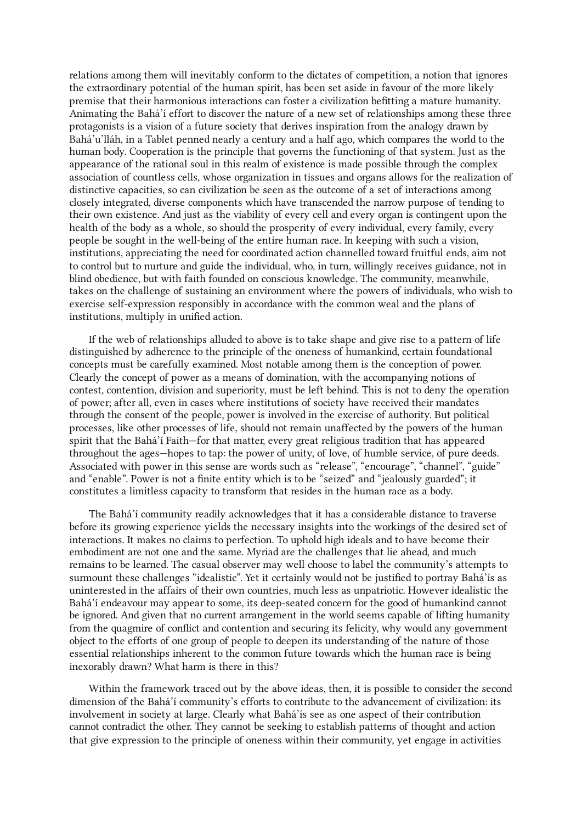relations among them will inevitably conform to the dictates of competition, a notion that ignores the extraordinary potential of the human spirit, has been set aside in favour of the more likely premise that their harmonious interactions can foster a civilization befitting a mature humanity. Animating the Bahá'í effort to discover the nature of a new set of relationships among these three protagonists is a vision of a future society that derives inspiration from the analogy drawn by Bahá'u'lláh, in a Tablet penned nearly a century and a half ago, which compares the world to the human body. Cooperation is the principle that governs the functioning of that system. Just as the appearance of the rational soul in this realm of existence is made possible through the complex association of countless cells, whose organization in tissues and organs allows for the realization of distinctive capacities, so can civilization be seen as the outcome of a set of interactions among closely integrated, diverse components which have transcended the narrow purpose of tending to their own existence. And just as the viability of every cell and every organ is contingent upon the health of the body as a whole, so should the prosperity of every individual, every family, every people be sought in the well-being of the entire human race. In keeping with such a vision, institutions, appreciating the need for coordinated action channelled toward fruitful ends, aim not to control but to nurture and guide the individual, who, in turn, willingly receives guidance, not in blind obedience, but with faith founded on conscious knowledge. The community, meanwhile, takes on the challenge of sustaining an environment where the powers of individuals, who wish to exercise self-expression responsibly in accordance with the common weal and the plans of institutions, multiply in unified action.

If the web of relationships alluded to above is to take shape and give rise to a pattern of life distinguished by adherence to the principle of the oneness of humankind, certain foundational concepts must be carefully examined. Most notable among them is the conception of power. Clearly the concept of power as a means of domination, with the accompanying notions of contest, contention, division and superiority, must be left behind. This is not to deny the operation of power; after all, even in cases where institutions of society have received their mandates through the consent of the people, power is involved in the exercise of authority. But political processes, like other processes of life, should not remain unaffected by the powers of the human spirit that the Bahá'í Faith—for that matter, every great religious tradition that has appeared throughout the ages—hopes to tap: the power of unity, of love, of humble service, of pure deeds. Associated with power in this sense are words such as "release", "encourage", "channel", "guide" and "enable". Power is not a finite entity which is to be "seized" and "jealously guarded"; it constitutes a limitless capacity to transform that resides in the human race as a body.

The Bahá'í community readily acknowledges that it has a considerable distance to traverse before its growing experience yields the necessary insights into the workings of the desired set of interactions. It makes no claims to perfection. To uphold high ideals and to have become their embodiment are not one and the same. Myriad are the challenges that lie ahead, and much remains to be learned. The casual observer may well choose to label the community's attempts to surmount these challenges "idealistic". Yet it certainly would not be justified to portray Bahá'ís as uninterested in the affairs of their own countries, much less as unpatriotic. However idealistic the Bahá'í endeavour may appear to some, its deep-seated concern for the good of humankind cannot be ignored. And given that no current arrangement in the world seems capable of lifting humanity from the quagmire of conflict and contention and securing its felicity, why would any government object to the efforts of one group of people to deepen its understanding of the nature of those essential relationships inherent to the common future towards which the human race is being inexorably drawn? What harm is there in this?

Within the framework traced out by the above ideas, then, it is possible to consider the second dimension of the Bahá'í community's efforts to contribute to the advancement of civilization: its involvement in society at large. Clearly what Bahá'ís see as one aspect of their contribution cannot contradict the other. They cannot be seeking to establish patterns of thought and action that give expression to the principle of oneness within their community, yet engage in activities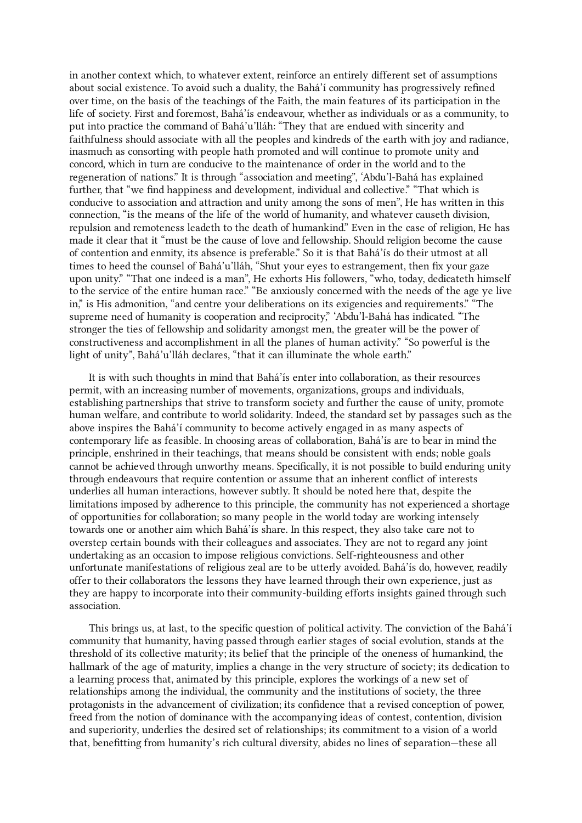in another context which, to whatever extent, reinforce an entirely different set of assumptions about social existence. To avoid such a duality, the Bahá'í community has progressively refined over time, on the basis of the teachings of the Faith, the main features of its participation in the life of society. First and foremost, Bahá'ís endeavour, whether as individuals or as a community, to put into practice the command of Bahá'u'lláh: "They that are endued with sincerity and faithfulness should associate with all the peoples and kindreds of the earth with joy and radiance, inasmuch as consorting with people hath promoted and will continue to promote unity and concord, which in turn are conducive to the maintenance of order in the world and to the regeneration of nations." It is through "association and meeting", 'Abdu'l-Bahá has explained further, that "we find happiness and development, individual and collective." "That which is conducive to association and attraction and unity among the sons of men", He has written in this connection, "is the means of the life of the world of humanity, and whatever causeth division, repulsion and remoteness leadeth to the death of humankind." Even in the case of religion, He has made it clear that it "must be the cause of love and fellowship. Should religion become the cause of contention and enmity, its absence is preferable." So it is that Bahá'ís do their utmost at all times to heed the counsel of Bahá'u'lláh, "Shut your eyes to estrangement, then fix your gaze upon unity." "That one indeed is a man", He exhorts His followers, "who, today, dedicateth himself to the service of the entire human race." "Be anxiously concerned with the needs of the age ye live in," is His admonition, "and centre your deliberations on its exigencies and requirements." "The supreme need of humanity is cooperation and reciprocity," 'Abdu'l-Bahá has indicated. "The stronger the ties of fellowship and solidarity amongst men, the greater will be the power of constructiveness and accomplishment in all the planes of human activity." "So powerful is the light of unity", Bahá'u'lláh declares, "that it can illuminate the whole earth."

It is with such thoughts in mind that Bahá'ís enter into collaboration, as their resources permit, with an increasing number of movements, organizations, groups and individuals, establishing partnerships that strive to transform society and further the cause of unity, promote human welfare, and contribute to world solidarity. Indeed, the standard set by passages such as the above inspires the Bahá'í community to become actively engaged in as many aspects of contemporary life as feasible. In choosing areas of collaboration, Bahá'ís are to bear in mind the principle, enshrined in their teachings, that means should be consistent with ends; noble goals cannot be achieved through unworthy means. Specifically, it is not possible to build enduring unity through endeavours that require contention or assume that an inherent conflict of interests underlies all human interactions, however subtly. It should be noted here that, despite the limitations imposed by adherence to this principle, the community has not experienced a shortage of opportunities for collaboration; so many people in the world today are working intensely towards one or another aim which Bahá'ís share. In this respect, they also take care not to overstep certain bounds with their colleagues and associates. They are not to regard any joint undertaking as an occasion to impose religious convictions. Self-righteousness and other unfortunate manifestations of religious zeal are to be utterly avoided. Bahá'ís do, however, readily offer to their collaborators the lessons they have learned through their own experience, just as they are happy to incorporate into their community-building efforts insights gained through such association.

This brings us, at last, to the specific question of political activity. The conviction of the Bahá'í community that humanity, having passed through earlier stages of social evolution, stands at the threshold of its collective maturity; its belief that the principle of the oneness of humankind, the hallmark of the age of maturity, implies a change in the very structure of society; its dedication to a learning process that, animated by this principle, explores the workings of a new set of relationships among the individual, the community and the institutions of society, the three protagonists in the advancement of civilization; its confidence that a revised conception of power, freed from the notion of dominance with the accompanying ideas of contest, contention, division and superiority, underlies the desired set of relationships; its commitment to a vision of a world that, benefitting from humanity's rich cultural diversity, abides no lines of separation—these all